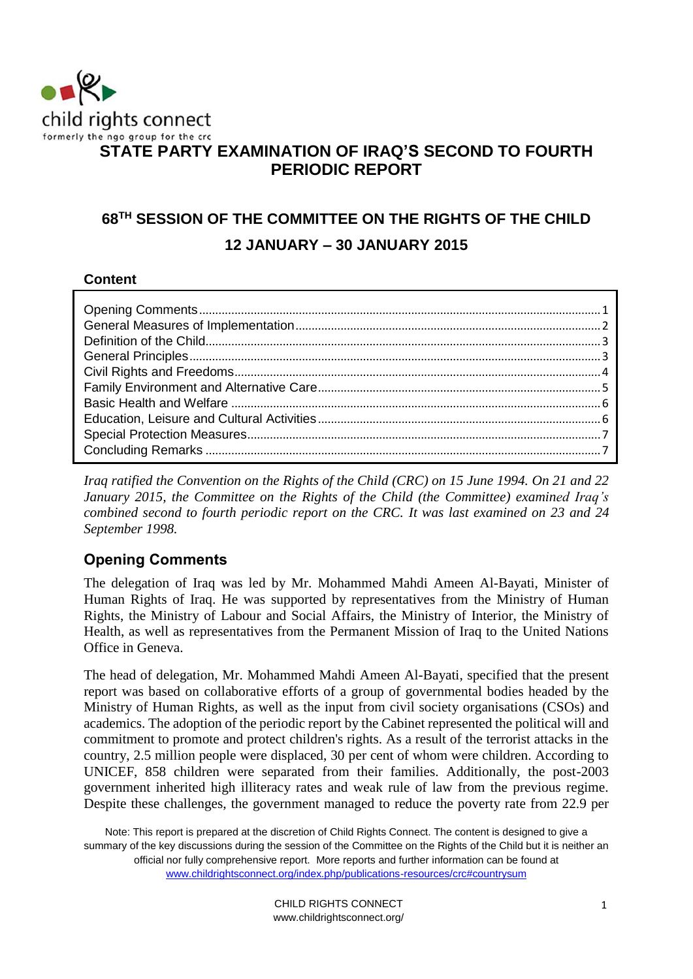

# **STATE PARTY EXAMINATION OF IRAQ'S SECOND TO FOURTH PERIODIC REPORT**

# **68TH SESSION OF THE COMMITTEE ON THE RIGHTS OF THE CHILD 12 JANUARY – 30 JANUARY 2015**

#### **Content**

*Iraq ratified the Convention on the Rights of the Child (CRC) on 15 June 1994. On 21 and 22 January 2015, the Committee on the Rights of the Child (the Committee) examined Iraq's combined second to fourth periodic report on the CRC. It was last examined on 23 and 24 September 1998.* 

# <span id="page-0-0"></span>**Opening Comments**

The delegation of Iraq was led by Mr. Mohammed Mahdi Ameen Al-Bayati, Minister of Human Rights of Iraq. He was supported by representatives from the Ministry of Human Rights, the Ministry of Labour and Social Affairs, the Ministry of Interior, the Ministry of Health, as well as representatives from the Permanent Mission of Iraq to the United Nations Office in Geneva.

The head of delegation, Mr. Mohammed Mahdi Ameen Al-Bayati, specified that the present report was based on collaborative efforts of a group of governmental bodies headed by the Ministry of Human Rights, as well as the input from civil society organisations (CSOs) and academics. The adoption of the periodic report by the Cabinet represented the political will and commitment to promote and protect children's rights. As a result of the terrorist attacks in the country, 2.5 million people were displaced, 30 per cent of whom were children. According to UNICEF, 858 children were separated from their families. Additionally, the post-2003 government inherited high illiteracy rates and weak rule of law from the previous regime. Despite these challenges, the government managed to reduce the poverty rate from 22.9 per

Note: This report is prepared at the discretion of Child Rights Connect. The content is designed to give a summary of the key discussions during the session of the Committee on the Rights of the Child but it is neither an official nor fully comprehensive report. More reports and further information can be found at [www.childrightsconnect.org/index.php/publications-resources/crc#countrysum](http://www.childrightsconnect.org/index.php/publications-resources/crc#countrysum)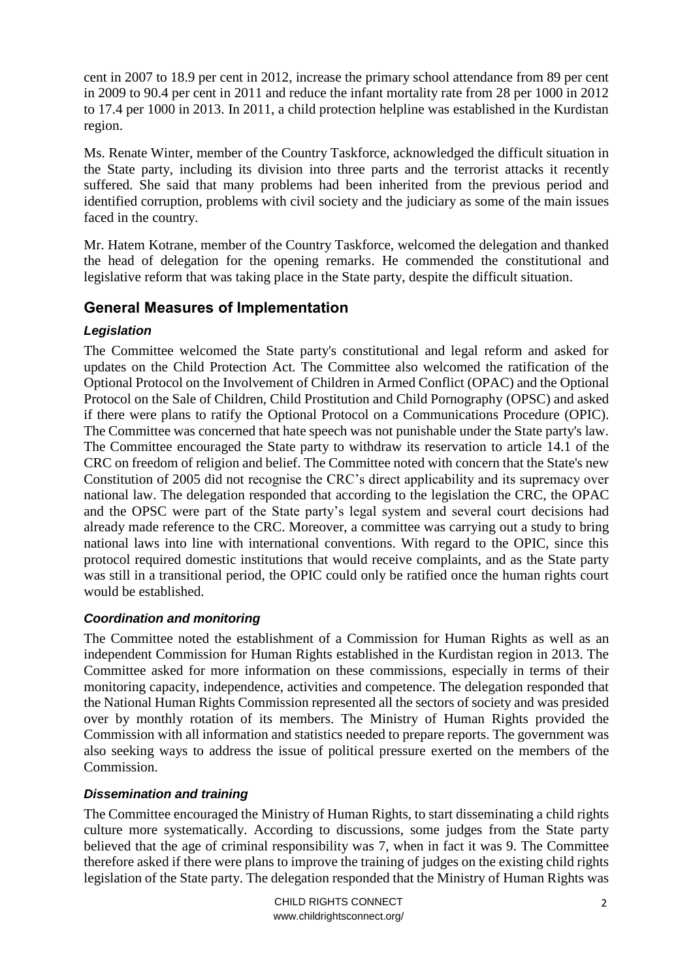cent in 2007 to 18.9 per cent in 2012, increase the primary school attendance from 89 per cent in 2009 to 90.4 per cent in 2011 and reduce the infant mortality rate from 28 per 1000 in 2012 to 17.4 per 1000 in 2013. In 2011, a child protection helpline was established in the Kurdistan region.

Ms. Renate Winter, member of the Country Taskforce, acknowledged the difficult situation in the State party, including its division into three parts and the terrorist attacks it recently suffered. She said that many problems had been inherited from the previous period and identified corruption, problems with civil society and the judiciary as some of the main issues faced in the country.

Mr. Hatem Kotrane, member of the Country Taskforce, welcomed the delegation and thanked the head of delegation for the opening remarks. He commended the constitutional and legislative reform that was taking place in the State party, despite the difficult situation.

## <span id="page-1-0"></span>**General Measures of Implementation**

#### *Legislation*

The Committee welcomed the State party's constitutional and legal reform and asked for updates on the Child Protection Act. The Committee also welcomed the ratification of the Optional Protocol on the Involvement of Children in Armed Conflict (OPAC) and the Optional Protocol on the Sale of Children, Child Prostitution and Child Pornography (OPSC) and asked if there were plans to ratify the Optional Protocol on a Communications Procedure (OPIC). The Committee was concerned that hate speech was not punishable under the State party's law. The Committee encouraged the State party to withdraw its reservation to article 14.1 of the CRC on freedom of religion and belief. The Committee noted with concern that the State's new Constitution of 2005 did not recognise the CRC's direct applicability and its supremacy over national law. The delegation responded that according to the legislation the CRC, the OPAC and the OPSC were part of the State party's legal system and several court decisions had already made reference to the CRC. Moreover, a committee was carrying out a study to bring national laws into line with international conventions. With regard to the OPIC, since this protocol required domestic institutions that would receive complaints, and as the State party was still in a transitional period, the OPIC could only be ratified once the human rights court would be established.

#### *Coordination and monitoring*

The Committee noted the establishment of a Commission for Human Rights as well as an independent Commission for Human Rights established in the Kurdistan region in 2013. The Committee asked for more information on these commissions, especially in terms of their monitoring capacity, independence, activities and competence. The delegation responded that the National Human Rights Commission represented all the sectors of society and was presided over by monthly rotation of its members. The Ministry of Human Rights provided the Commission with all information and statistics needed to prepare reports. The government was also seeking ways to address the issue of political pressure exerted on the members of the Commission.

#### *Dissemination and training*

The Committee encouraged the Ministry of Human Rights, to start disseminating a child rights culture more systematically. According to discussions, some judges from the State party believed that the age of criminal responsibility was 7, when in fact it was 9. The Committee therefore asked if there were plans to improve the training of judges on the existing child rights legislation of the State party. The delegation responded that the Ministry of Human Rights was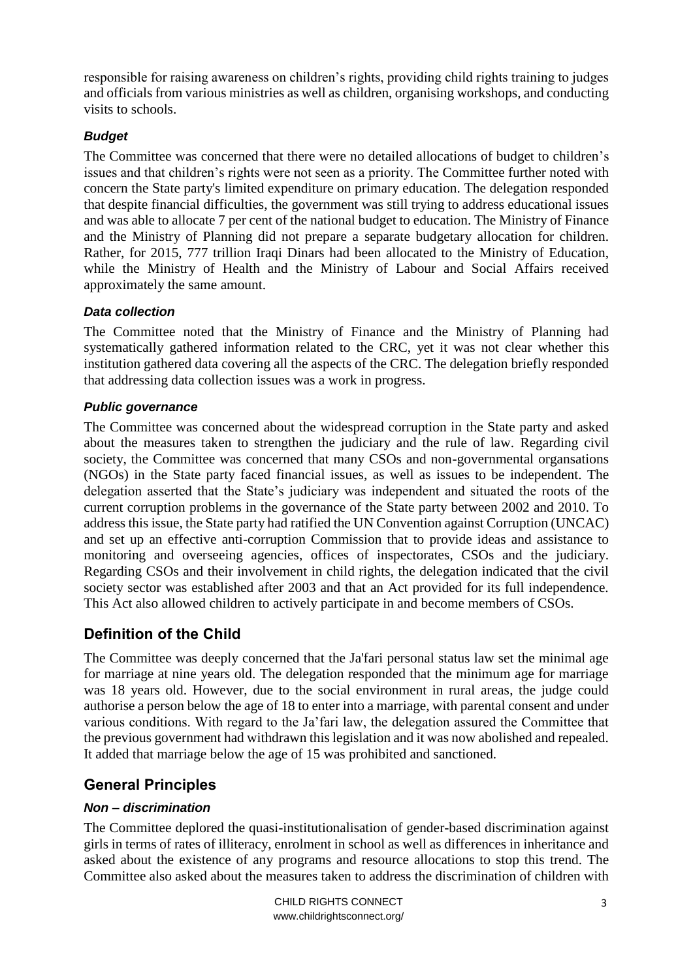responsible for raising awareness on children's rights, providing child rights training to judges and officials from various ministries as well as children, organising workshops, and conducting visits to schools.

#### *Budget*

The Committee was concerned that there were no detailed allocations of budget to children's issues and that children's rights were not seen as a priority. The Committee further noted with concern the State party's limited expenditure on primary education. The delegation responded that despite financial difficulties, the government was still trying to address educational issues and was able to allocate 7 per cent of the national budget to education. The Ministry of Finance and the Ministry of Planning did not prepare a separate budgetary allocation for children. Rather, for 2015, 777 trillion Iraqi Dinars had been allocated to the Ministry of Education, while the Ministry of Health and the Ministry of Labour and Social Affairs received approximately the same amount.

#### *Data collection*

The Committee noted that the Ministry of Finance and the Ministry of Planning had systematically gathered information related to the CRC, yet it was not clear whether this institution gathered data covering all the aspects of the CRC. The delegation briefly responded that addressing data collection issues was a work in progress.

#### *Public governance*

The Committee was concerned about the widespread corruption in the State party and asked about the measures taken to strengthen the judiciary and the rule of law. Regarding civil society, the Committee was concerned that many CSOs and non-governmental organsations (NGOs) in the State party faced financial issues, as well as issues to be independent. The delegation asserted that the State's judiciary was independent and situated the roots of the current corruption problems in the governance of the State party between 2002 and 2010. To address this issue, the State party had ratified the UN Convention against Corruption (UNCAC) and set up an effective anti-corruption Commission that to provide ideas and assistance to monitoring and overseeing agencies, offices of inspectorates, CSOs and the judiciary. Regarding CSOs and their involvement in child rights, the delegation indicated that the civil society sector was established after 2003 and that an Act provided for its full independence. This Act also allowed children to actively participate in and become members of CSOs.

## <span id="page-2-0"></span>**Definition of the Child**

The Committee was deeply concerned that the Ja'fari personal status law set the minimal age for marriage at nine years old. The delegation responded that the minimum age for marriage was 18 years old. However, due to the social environment in rural areas, the judge could authorise a person below the age of 18 to enter into a marriage, with parental consent and under various conditions. With regard to the Ja'fari law, the delegation assured the Committee that the previous government had withdrawn this legislation and it was now abolished and repealed. It added that marriage below the age of 15 was prohibited and sanctioned.

## <span id="page-2-1"></span>**General Principles**

#### *Non – discrimination*

The Committee deplored the quasi-institutionalisation of gender-based discrimination against girls in terms of rates of illiteracy, enrolment in school as well as differences in inheritance and asked about the existence of any programs and resource allocations to stop this trend. The Committee also asked about the measures taken to address the discrimination of children with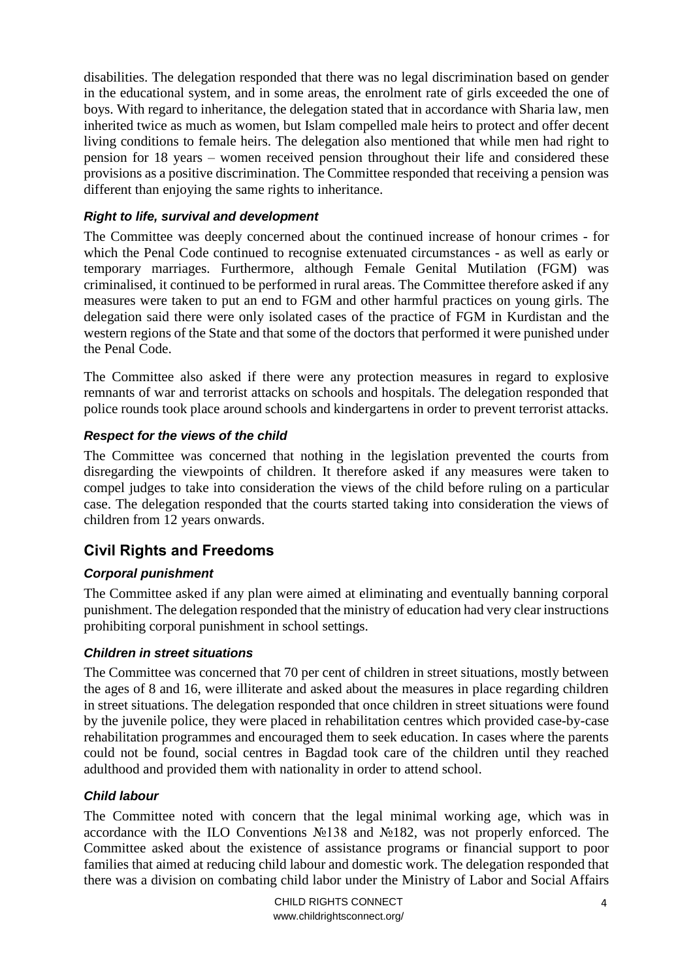disabilities. The delegation responded that there was no legal discrimination based on gender in the educational system, and in some areas, the enrolment rate of girls exceeded the one of boys. With regard to inheritance, the delegation stated that in accordance with Sharia law, men inherited twice as much as women, but Islam compelled male heirs to protect and offer decent living conditions to female heirs. The delegation also mentioned that while men had right to pension for 18 years – women received pension throughout their life and considered these provisions as a positive discrimination. The Committee responded that receiving a pension was different than enjoying the same rights to inheritance.

#### *Right to life, survival and development*

The Committee was deeply concerned about the continued increase of honour crimes - for which the Penal Code continued to recognise extenuated circumstances - as well as early or temporary marriages. Furthermore, although Female Genital Mutilation (FGM) was criminalised, it continued to be performed in rural areas. The Committee therefore asked if any measures were taken to put an end to FGM and other harmful practices on young girls. The delegation said there were only isolated cases of the practice of FGM in Kurdistan and the western regions of the State and that some of the doctors that performed it were punished under the Penal Code.

The Committee also asked if there were any protection measures in regard to explosive remnants of war and terrorist attacks on schools and hospitals. The delegation responded that police rounds took place around schools and kindergartens in order to prevent terrorist attacks.

#### *Respect for the views of the child*

The Committee was concerned that nothing in the legislation prevented the courts from disregarding the viewpoints of children. It therefore asked if any measures were taken to compel judges to take into consideration the views of the child before ruling on a particular case. The delegation responded that the courts started taking into consideration the views of children from 12 years onwards.

# <span id="page-3-0"></span>**Civil Rights and Freedoms**

## *Corporal punishment*

The Committee asked if any plan were aimed at eliminating and eventually banning corporal punishment. The delegation responded that the ministry of education had very clear instructions prohibiting corporal punishment in school settings.

#### *Children in street situations*

The Committee was concerned that 70 per cent of children in street situations, mostly between the ages of 8 and 16, were illiterate and asked about the measures in place regarding children in street situations. The delegation responded that once children in street situations were found by the juvenile police, they were placed in rehabilitation centres which provided case-by-case rehabilitation programmes and encouraged them to seek education. In cases where the parents could not be found, social centres in Bagdad took care of the children until they reached adulthood and provided them with nationality in order to attend school.

#### *Child labour*

The Committee noted with concern that the legal minimal working age, which was in accordance with the ILO Conventions №138 and №182, was not properly enforced. The Committee asked about the existence of assistance programs or financial support to poor families that aimed at reducing child labour and domestic work. The delegation responded that there was a division on combating child labor under the Ministry of Labor and Social Affairs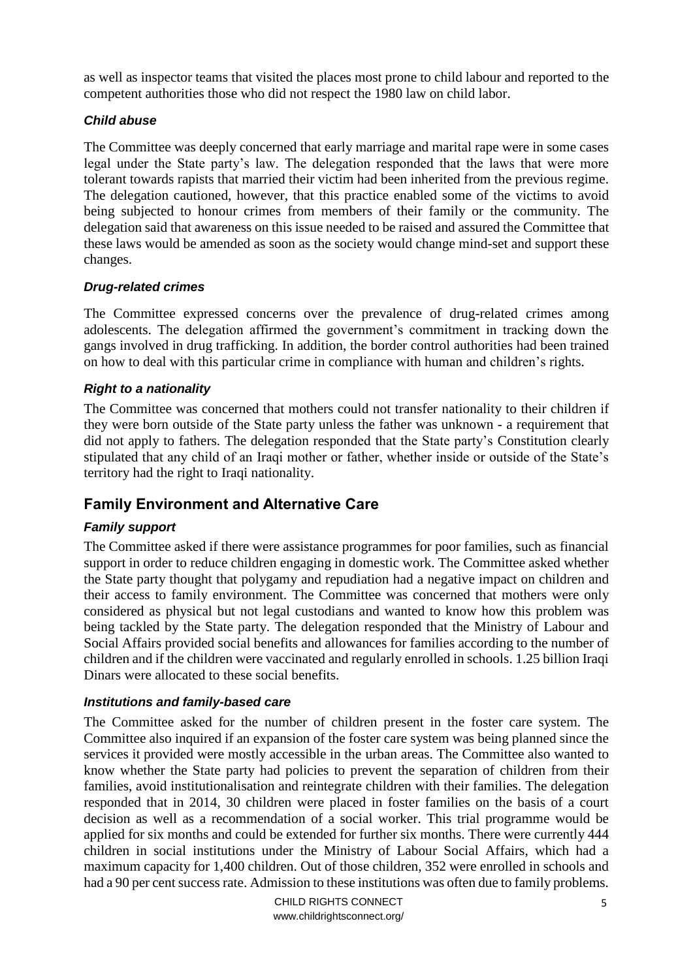as well as inspector teams that visited the places most prone to child labour and reported to the competent authorities those who did not respect the 1980 law on child labor.

#### *Child abuse*

The Committee was deeply concerned that early marriage and marital rape were in some cases legal under the State party's law. The delegation responded that the laws that were more tolerant towards rapists that married their victim had been inherited from the previous regime. The delegation cautioned, however, that this practice enabled some of the victims to avoid being subjected to honour crimes from members of their family or the community. The delegation said that awareness on this issue needed to be raised and assured the Committee that these laws would be amended as soon as the society would change mind-set and support these changes.

#### *Drug-related crimes*

The Committee expressed concerns over the prevalence of drug-related crimes among adolescents. The delegation affirmed the government's commitment in tracking down the gangs involved in drug trafficking. In addition, the border control authorities had been trained on how to deal with this particular crime in compliance with human and children's rights.

#### *Right to a nationality*

The Committee was concerned that mothers could not transfer nationality to their children if they were born outside of the State party unless the father was unknown - a requirement that did not apply to fathers. The delegation responded that the State party's Constitution clearly stipulated that any child of an Iraqi mother or father, whether inside or outside of the State's territory had the right to Iraqi nationality.

# <span id="page-4-0"></span>**Family Environment and Alternative Care**

## *Family support*

The Committee asked if there were assistance programmes for poor families, such as financial support in order to reduce children engaging in domestic work. The Committee asked whether the State party thought that polygamy and repudiation had a negative impact on children and their access to family environment. The Committee was concerned that mothers were only considered as physical but not legal custodians and wanted to know how this problem was being tackled by the State party. The delegation responded that the Ministry of Labour and Social Affairs provided social benefits and allowances for families according to the number of children and if the children were vaccinated and regularly enrolled in schools. 1.25 billion Iraqi Dinars were allocated to these social benefits.

#### *Institutions and family-based care*

The Committee asked for the number of children present in the foster care system. The Committee also inquired if an expansion of the foster care system was being planned since the services it provided were mostly accessible in the urban areas. The Committee also wanted to know whether the State party had policies to prevent the separation of children from their families, avoid institutionalisation and reintegrate children with their families. The delegation responded that in 2014, 30 children were placed in foster families on the basis of a court decision as well as a recommendation of a social worker. This trial programme would be applied for six months and could be extended for further six months. There were currently 444 children in social institutions under the Ministry of Labour Social Affairs, which had a maximum capacity for 1,400 children. Out of those children, 352 were enrolled in schools and had a 90 per cent success rate. Admission to these institutions was often due to family problems.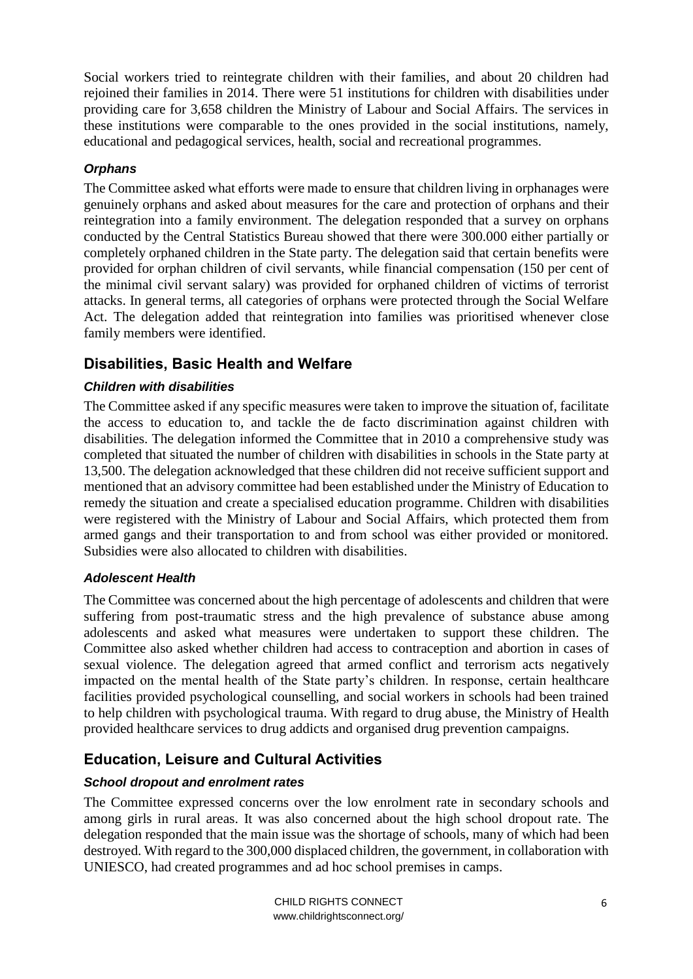Social workers tried to reintegrate children with their families, and about 20 children had rejoined their families in 2014. There were 51 institutions for children with disabilities under providing care for 3,658 children the Ministry of Labour and Social Affairs. The services in these institutions were comparable to the ones provided in the social institutions, namely, educational and pedagogical services, health, social and recreational programmes.

#### *Orphans*

The Committee asked what efforts were made to ensure that children living in orphanages were genuinely orphans and asked about measures for the care and protection of orphans and their reintegration into a family environment. The delegation responded that a survey on orphans conducted by the Central Statistics Bureau showed that there were 300.000 either partially or completely orphaned children in the State party. The delegation said that certain benefits were provided for orphan children of civil servants, while financial compensation (150 per cent of the minimal civil servant salary) was provided for orphaned children of victims of terrorist attacks. In general terms, all categories of orphans were protected through the Social Welfare Act. The delegation added that reintegration into families was prioritised whenever close family members were identified.

# <span id="page-5-0"></span>**Disabilities, Basic Health and Welfare**

#### *Children with disabilities*

The Committee asked if any specific measures were taken to improve the situation of, facilitate the access to education to, and tackle the de facto discrimination against children with disabilities. The delegation informed the Committee that in 2010 a comprehensive study was completed that situated the number of children with disabilities in schools in the State party at 13,500. The delegation acknowledged that these children did not receive sufficient support and mentioned that an advisory committee had been established under the Ministry of Education to remedy the situation and create a specialised education programme. Children with disabilities were registered with the Ministry of Labour and Social Affairs, which protected them from armed gangs and their transportation to and from school was either provided or monitored. Subsidies were also allocated to children with disabilities.

#### *Adolescent Health*

The Committee was concerned about the high percentage of adolescents and children that were suffering from post-traumatic stress and the high prevalence of substance abuse among adolescents and asked what measures were undertaken to support these children. The Committee also asked whether children had access to contraception and abortion in cases of sexual violence. The delegation agreed that armed conflict and terrorism acts negatively impacted on the mental health of the State party's children. In response, certain healthcare facilities provided psychological counselling, and social workers in schools had been trained to help children with psychological trauma. With regard to drug abuse, the Ministry of Health provided healthcare services to drug addicts and organised drug prevention campaigns.

# <span id="page-5-1"></span>**Education, Leisure and Cultural Activities**

## *School dropout and enrolment rates*

The Committee expressed concerns over the low enrolment rate in secondary schools and among girls in rural areas. It was also concerned about the high school dropout rate. The delegation responded that the main issue was the shortage of schools, many of which had been destroyed. With regard to the 300,000 displaced children, the government, in collaboration with UNIESCO, had created programmes and ad hoc school premises in camps.